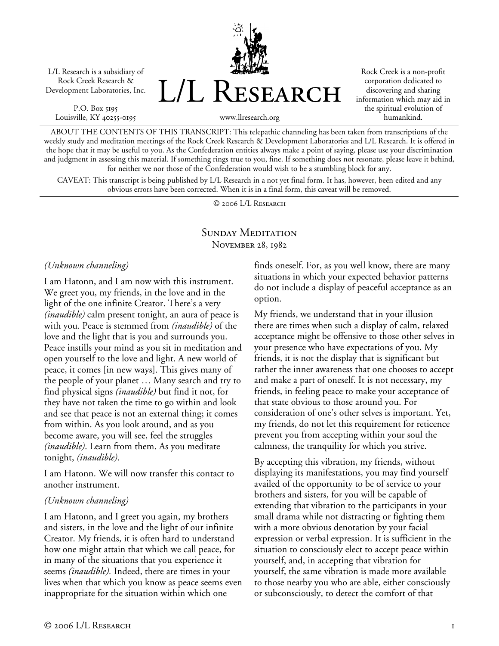L/L Research is a subsidiary of Rock Creek Research & Development Laboratories, Inc.

P.O. Box 5195 Louisville, KY 40255-0195 L/L Research

Rock Creek is a non-profit corporation dedicated to discovering and sharing information which may aid in the spiritual evolution of humankind.

www.llresearch.org

ABOUT THE CONTENTS OF THIS TRANSCRIPT: This telepathic channeling has been taken from transcriptions of the weekly study and meditation meetings of the Rock Creek Research & Development Laboratories and L/L Research. It is offered in the hope that it may be useful to you. As the Confederation entities always make a point of saying, please use your discrimination and judgment in assessing this material. If something rings true to you, fine. If something does not resonate, please leave it behind, for neither we nor those of the Confederation would wish to be a stumbling block for any.

CAVEAT: This transcript is being published by L/L Research in a not yet final form. It has, however, been edited and any obvious errors have been corrected. When it is in a final form, this caveat will be removed.

© 2006 L/L Research

# SUNDAY MEDITATION November 28, 1982

*(Unknown channeling)* 

I am Hatonn, and I am now with this instrument. We greet you, my friends, in the love and in the light of the one infinite Creator. There's a very *(inaudible)* calm present tonight, an aura of peace is with you. Peace is stemmed from *(inaudible)* of the love and the light that is you and surrounds you. Peace instills your mind as you sit in meditation and open yourself to the love and light. A new world of peace, it comes [in new ways]. This gives many of the people of your planet … Many search and try to find physical signs *(inaudible)* but find it not, for they have not taken the time to go within and look and see that peace is not an external thing; it comes from within. As you look around, and as you become aware, you will see, feel the struggles *(inaudible)*. Learn from them. As you meditate tonight, *(inaudible)*.

I am Hatonn. We will now transfer this contact to another instrument.

# *(Unknown channeling)*

I am Hatonn, and I greet you again, my brothers and sisters, in the love and the light of our infinite Creator. My friends, it is often hard to understand how one might attain that which we call peace, for in many of the situations that you experience it seems *(inaudible).* Indeed, there are times in your lives when that which you know as peace seems even inappropriate for the situation within which one

finds oneself. For, as you well know, there are many situations in which your expected behavior patterns do not include a display of peaceful acceptance as an option.

My friends, we understand that in your illusion there are times when such a display of calm, relaxed acceptance might be offensive to those other selves in your presence who have expectations of you. My friends, it is not the display that is significant but rather the inner awareness that one chooses to accept and make a part of oneself. It is not necessary, my friends, in feeling peace to make your acceptance of that state obvious to those around you. For consideration of one's other selves is important. Yet, my friends, do not let this requirement for reticence prevent you from accepting within your soul the calmness, the tranquility for which you strive.

By accepting this vibration, my friends, without displaying its manifestations, you may find yourself availed of the opportunity to be of service to your brothers and sisters, for you will be capable of extending that vibration to the participants in your small drama while not distracting or fighting them with a more obvious denotation by your facial expression or verbal expression. It is sufficient in the situation to consciously elect to accept peace within yourself, and, in accepting that vibration for yourself, the same vibration is made more available to those nearby you who are able, either consciously or subconsciously, to detect the comfort of that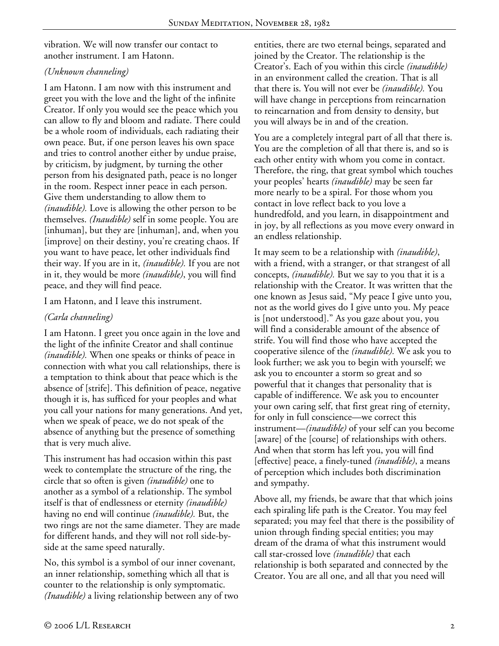vibration. We will now transfer our contact to another instrument. I am Hatonn.

#### *(Unknown channeling)*

I am Hatonn. I am now with this instrument and greet you with the love and the light of the infinite Creator. If only you would see the peace which you can allow to fly and bloom and radiate. There could be a whole room of individuals, each radiating their own peace. But, if one person leaves his own space and tries to control another either by undue praise, by criticism, by judgment, by turning the other person from his designated path, peace is no longer in the room. Respect inner peace in each person. Give them understanding to allow them to *(inaudible).* Love is allowing the other person to be themselves. *(Inaudible)* self in some people. You are [inhuman], but they are [inhuman], and, when you [improve] on their destiny, you're creating chaos. If you want to have peace, let other individuals find their way. If you are in it, *(inaudible).* If you are not in it, they would be more *(inaudible)*, you will find peace, and they will find peace.

I am Hatonn, and I leave this instrument.

# *(Carla channeling)*

I am Hatonn. I greet you once again in the love and the light of the infinite Creator and shall continue *(inaudible).* When one speaks or thinks of peace in connection with what you call relationships, there is a temptation to think about that peace which is the absence of [strife]. This definition of peace, negative though it is, has sufficed for your peoples and what you call your nations for many generations. And yet, when we speak of peace, we do not speak of the absence of anything but the presence of something that is very much alive.

This instrument has had occasion within this past week to contemplate the structure of the ring, the circle that so often is given *(inaudible)* one to another as a symbol of a relationship. The symbol itself is that of endlessness or eternity *(inaudible)* having no end will continue *(inaudible).* But, the two rings are not the same diameter. They are made for different hands, and they will not roll side-byside at the same speed naturally.

No, this symbol is a symbol of our inner covenant, an inner relationship, something which all that is counter to the relationship is only symptomatic. *(Inaudible)* a living relationship between any of two entities, there are two eternal beings, separated and joined by the Creator. The relationship is the Creator's. Each of you within this circle *(inaudible)* in an environment called the creation. That is all that there is. You will not ever be *(inaudible).* You will have change in perceptions from reincarnation to reincarnation and from density to density, but you will always be in and of the creation.

You are a completely integral part of all that there is. You are the completion of all that there is, and so is each other entity with whom you come in contact. Therefore, the ring, that great symbol which touches your peoples' hearts *(inaudible)* may be seen far more nearly to be a spiral. For those whom you contact in love reflect back to you love a hundredfold, and you learn, in disappointment and in joy, by all reflections as you move every onward in an endless relationship.

It may seem to be a relationship with *(inaudible)*, with a friend, with a stranger, or that strangest of all concepts, *(inaudible).* But we say to you that it is a relationship with the Creator. It was written that the one known as Jesus said, "My peace I give unto you, not as the world gives do I give unto you. My peace is [not understood]." As you gaze about you, you will find a considerable amount of the absence of strife. You will find those who have accepted the cooperative silence of the *(inaudible).* We ask you to look further; we ask you to begin with yourself; we ask you to encounter a storm so great and so powerful that it changes that personality that is capable of indifference. We ask you to encounter your own caring self, that first great ring of eternity, for only in full conscience—we correct this instrument—*(inaudible)* of your self can you become [aware] of the [course] of relationships with others. And when that storm has left you, you will find [effective] peace, a finely-tuned *(inaudible)*, a means of perception which includes both discrimination and sympathy.

Above all, my friends, be aware that that which joins each spiraling life path is the Creator. You may feel separated; you may feel that there is the possibility of union through finding special entities; you may dream of the drama of what this instrument would call star-crossed love *(inaudible)* that each relationship is both separated and connected by the Creator. You are all one, and all that you need will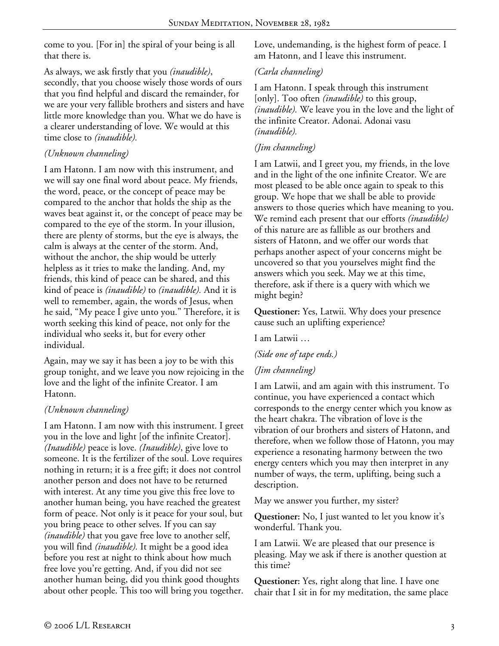come to you. [For in] the spiral of your being is all that there is.

As always, we ask firstly that you *(inaudible)*, secondly, that you choose wisely those words of ours that you find helpful and discard the remainder, for we are your very fallible brothers and sisters and have little more knowledge than you. What we do have is a clearer understanding of love. We would at this time close to *(inaudible).*

#### *(Unknown channeling)*

I am Hatonn. I am now with this instrument, and we will say one final word about peace. My friends, the word, peace, or the concept of peace may be compared to the anchor that holds the ship as the waves beat against it, or the concept of peace may be compared to the eye of the storm. In your illusion, there are plenty of storms, but the eye is always, the calm is always at the center of the storm. And, without the anchor, the ship would be utterly helpless as it tries to make the landing. And, my friends, this kind of peace can be shared, and this kind of peace is *(inaudible)* to *(inaudible).* And it is well to remember, again, the words of Jesus, when he said, "My peace I give unto you." Therefore, it is worth seeking this kind of peace, not only for the individual who seeks it, but for every other individual.

Again, may we say it has been a joy to be with this group tonight, and we leave you now rejoicing in the love and the light of the infinite Creator. I am Hatonn.

#### *(Unknown channeling)*

I am Hatonn. I am now with this instrument. I greet you in the love and light [of the infinite Creator]. *(Inaudible)* peace is love. *(Inaudible)*, give love to someone. It is the fertilizer of the soul. Love requires nothing in return; it is a free gift; it does not control another person and does not have to be returned with interest. At any time you give this free love to another human being, you have reached the greatest form of peace. Not only is it peace for your soul, but you bring peace to other selves. If you can say *(inaudible)* that you gave free love to another self, you will find *(inaudible).* It might be a good idea before you rest at night to think about how much free love you're getting. And, if you did not see another human being, did you think good thoughts about other people. This too will bring you together. Love, undemanding, is the highest form of peace. I am Hatonn, and I leave this instrument.

# *(Carla channeling)*

I am Hatonn. I speak through this instrument [only]. Too often *(inaudible)* to this group, *(inaudible).* We leave you in the love and the light of the infinite Creator. Adonai. Adonai vasu *(inaudible).*

#### *(Jim channeling)*

I am Latwii, and I greet you, my friends, in the love and in the light of the one infinite Creator. We are most pleased to be able once again to speak to this group. We hope that we shall be able to provide answers to those queries which have meaning to you. We remind each present that our efforts *(inaudible)* of this nature are as fallible as our brothers and sisters of Hatonn, and we offer our words that perhaps another aspect of your concerns might be uncovered so that you yourselves might find the answers which you seek. May we at this time, therefore, ask if there is a query with which we might begin?

**Questioner:** Yes, Latwii. Why does your presence cause such an uplifting experience?

I am Latwii …

*(Side one of tape ends.)* 

# *(Jim channeling)*

I am Latwii, and am again with this instrument. To continue, you have experienced a contact which corresponds to the energy center which you know as the heart chakra. The vibration of love is the vibration of our brothers and sisters of Hatonn, and therefore, when we follow those of Hatonn, you may experience a resonating harmony between the two energy centers which you may then interpret in any number of ways, the term, uplifting, being such a description.

May we answer you further, my sister?

**Questioner:** No, I just wanted to let you know it's wonderful. Thank you.

I am Latwii. We are pleased that our presence is pleasing. May we ask if there is another question at this time?

**Questioner:** Yes, right along that line. I have one chair that I sit in for my meditation, the same place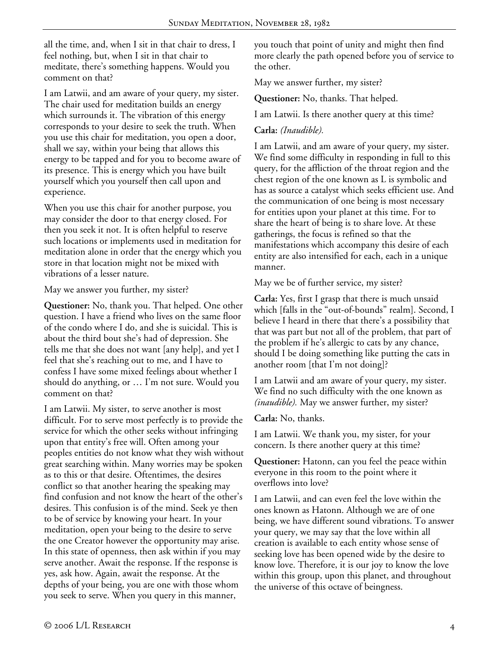all the time, and, when I sit in that chair to dress, I feel nothing, but, when I sit in that chair to meditate, there's something happens. Would you comment on that?

I am Latwii, and am aware of your query, my sister. The chair used for meditation builds an energy which surrounds it. The vibration of this energy corresponds to your desire to seek the truth. When you use this chair for meditation, you open a door, shall we say, within your being that allows this energy to be tapped and for you to become aware of its presence. This is energy which you have built yourself which you yourself then call upon and experience.

When you use this chair for another purpose, you may consider the door to that energy closed. For then you seek it not. It is often helpful to reserve such locations or implements used in meditation for meditation alone in order that the energy which you store in that location might not be mixed with vibrations of a lesser nature.

May we answer you further, my sister?

**Questioner:** No, thank you. That helped. One other question. I have a friend who lives on the same floor of the condo where I do, and she is suicidal. This is about the third bout she's had of depression. She tells me that she does not want [any help], and yet I feel that she's reaching out to me, and I have to confess I have some mixed feelings about whether I should do anything, or … I'm not sure. Would you comment on that?

I am Latwii. My sister, to serve another is most difficult. For to serve most perfectly is to provide the service for which the other seeks without infringing upon that entity's free will. Often among your peoples entities do not know what they wish without great searching within. Many worries may be spoken as to this or that desire. Oftentimes, the desires conflict so that another hearing the speaking may find confusion and not know the heart of the other's desires. This confusion is of the mind. Seek ye then to be of service by knowing your heart. In your meditation, open your being to the desire to serve the one Creator however the opportunity may arise. In this state of openness, then ask within if you may serve another. Await the response. If the response is yes, ask how. Again, await the response. At the depths of your being, you are one with those whom you seek to serve. When you query in this manner,

you touch that point of unity and might then find more clearly the path opened before you of service to the other.

May we answer further, my sister?

**Questioner:** No, thanks. That helped.

I am Latwii. Is there another query at this time?

#### **Carla:** *(Inaudible).*

I am Latwii, and am aware of your query, my sister. We find some difficulty in responding in full to this query, for the affliction of the throat region and the chest region of the one known as L is symbolic and has as source a catalyst which seeks efficient use. And the communication of one being is most necessary for entities upon your planet at this time. For to share the heart of being is to share love. At these gatherings, the focus is refined so that the manifestations which accompany this desire of each entity are also intensified for each, each in a unique manner.

May we be of further service, my sister?

**Carla:** Yes, first I grasp that there is much unsaid which [falls in the "out-of-bounds" realm]. Second, I believe I heard in there that there's a possibility that that was part but not all of the problem, that part of the problem if he's allergic to cats by any chance, should I be doing something like putting the cats in another room [that I'm not doing]?

I am Latwii and am aware of your query, my sister. We find no such difficulty with the one known as *(inaudible).* May we answer further, my sister?

**Carla:** No, thanks.

I am Latwii. We thank you, my sister, for your concern. Is there another query at this time?

**Questioner:** Hatonn, can you feel the peace within everyone in this room to the point where it overflows into love?

I am Latwii, and can even feel the love within the ones known as Hatonn. Although we are of one being, we have different sound vibrations. To answer your query, we may say that the love within all creation is available to each entity whose sense of seeking love has been opened wide by the desire to know love. Therefore, it is our joy to know the love within this group, upon this planet, and throughout the universe of this octave of beingness.